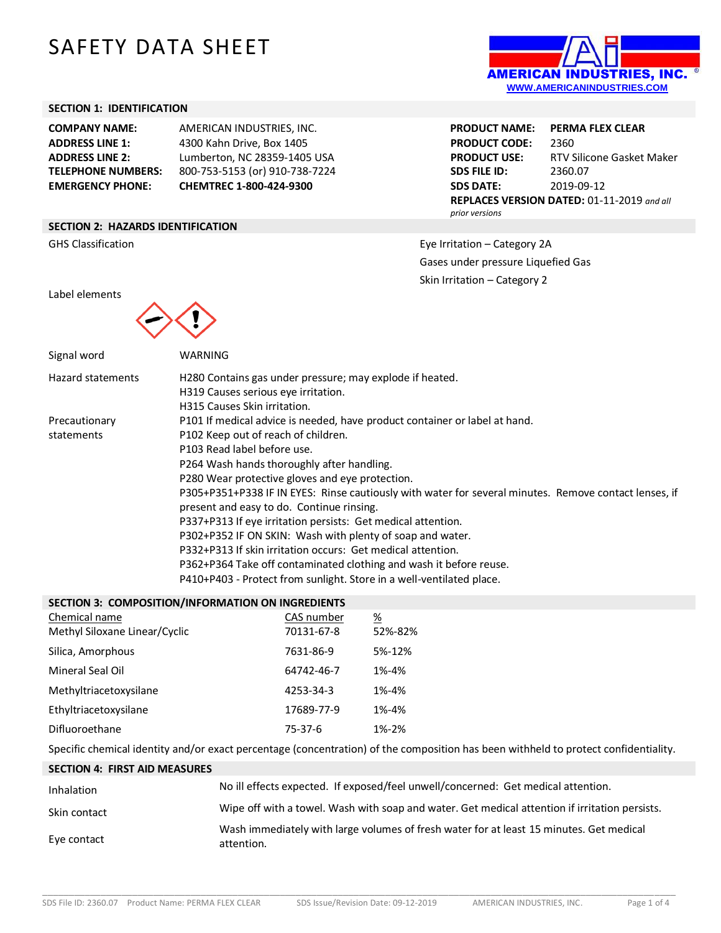# SAFETY DATA SHEET

#### **SECTION 1: IDENTIFICATION**

**COMPANY NAME:** AMERICAN INDUSTRIES, INC. **ADDRESS LINE 1:** 4300 Kahn Drive, Box 1405 **EMERGENCY PHONE: CHEMTREC 1-800-424-9300**

**ADDRESS LINE 2:** Lumberton, NC 28359-1405 USA **TELEPHONE NUMBERS:** 800-753-5153 (or) 910-738-7224

### **SECTION 2: HAZARDS IDENTIFICATION**



**PRODUCT NAME: PERMA FLEX CLEAR PRODUCT CODE:** 2360 **PRODUCT USE:** RTV Silicone Gasket Maker **SDS FILE ID:** 2360.07 **SDS DATE:** 2019-09-12 **REPLACES VERSION DATED:** 01-11-2019 *and all prior versions*

GHS Classification **Exercise 2A** Classification – Category 2A Classification – Category 2A Gases under pressure Liquefied Gas Skin Irritation – Category 2

Label elements



| Signal word       | WARNING                                                                                               |
|-------------------|-------------------------------------------------------------------------------------------------------|
| Hazard statements | H280 Contains gas under pressure; may explode if heated.                                              |
|                   | H319 Causes serious eye irritation.                                                                   |
|                   | H315 Causes Skin irritation.                                                                          |
| Precautionary     | P101 If medical advice is needed, have product container or label at hand.                            |
| statements        | P102 Keep out of reach of children.                                                                   |
|                   | P103 Read label before use.                                                                           |
|                   | P264 Wash hands thoroughly after handling.                                                            |
|                   | P280 Wear protective gloves and eye protection.                                                       |
|                   | P305+P351+P338 IF IN EYES: Rinse cautiously with water for several minutes. Remove contact lenses, if |
|                   | present and easy to do. Continue rinsing.                                                             |
|                   | P337+P313 If eye irritation persists: Get medical attention.                                          |
|                   | P302+P352 IF ON SKIN: Wash with plenty of soap and water.                                             |
|                   | P332+P313 If skin irritation occurs: Get medical attention.                                           |
|                   | P362+P364 Take off contaminated clothing and wash it before reuse.                                    |
|                   | P410+P403 - Protect from sunlight. Store in a well-ventilated place.                                  |

| SECTION 3: COMPOSITION/INFORMATION ON INGREDIENTS |                          |                     |  |
|---------------------------------------------------|--------------------------|---------------------|--|
| Chemical name<br>Methyl Siloxane Linear/Cyclic    | CAS number<br>70131-67-8 | <u>%</u><br>52%-82% |  |
| Silica, Amorphous                                 | 7631-86-9                | 5%-12%              |  |
| Mineral Seal Oil                                  | 64742-46-7               | 1%-4%               |  |
| Methyltriacetoxysilane                            | 4253-34-3                | 1%-4%               |  |
| Ethyltriacetoxysilane                             | 17689-77-9               | 1%-4%               |  |
| Difluoroethane                                    | 75-37-6                  | 1%-2%               |  |
|                                                   |                          |                     |  |

Specific chemical identity and/or exact percentage (concentration) of the composition has been withheld to protect confidentiality.

| <b>SECTION 4: FIRST AID MEASURES</b> |                                                                                                       |
|--------------------------------------|-------------------------------------------------------------------------------------------------------|
| Inhalation                           | No ill effects expected. If exposed/feel unwell/concerned: Get medical attention.                     |
| Skin contact                         | Wipe off with a towel. Wash with soap and water. Get medical attention if irritation persists.        |
| Eye contact                          | Wash immediately with large volumes of fresh water for at least 15 minutes. Get medical<br>attention. |

\_\_\_\_\_\_\_\_\_\_\_\_\_\_\_\_\_\_\_\_\_\_\_\_\_\_\_\_\_\_\_\_\_\_\_\_\_\_\_\_\_\_\_\_\_\_\_\_\_\_\_\_\_\_\_\_\_\_\_\_\_\_\_\_\_\_\_\_\_\_\_\_\_\_\_\_\_\_\_\_\_\_\_\_\_\_\_\_\_\_\_\_\_\_\_\_\_\_\_\_\_\_\_\_\_\_\_\_\_\_\_\_\_\_\_\_\_\_\_\_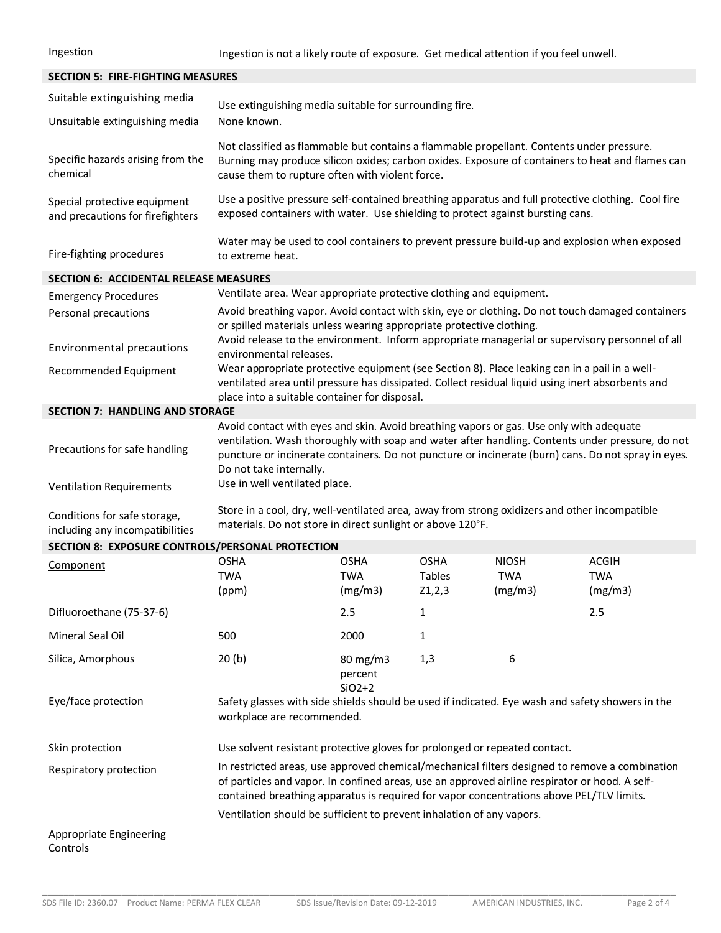Ingestion Ingestion is not a likely route of exposure. Get medical attention if you feel unwell.

## **SECTION 5: FIRE-FIGHTING MEASURES** Suitable extinguishing media Use extinguishing media suitable for surrounding fire. Unsuitable extinguishing media None known. Specific hazards arising from the chemical Not classified as flammable but contains a flammable propellant. Contents under pressure. Burning may produce silicon oxides; carbon oxides. Exposure of containers to heat and flames can cause them to rupture often with violent force. Special protective equipment and precautions for firefighters Use a positive pressure self-contained breathing apparatus and full protective clothing. Cool fire exposed containers with water. Use shielding to protect against bursting cans. Fire-fighting procedures Water may be used to cool containers to prevent pressure build-up and explosion when exposed to extreme heat. **SECTION 6: ACCIDENTAL RELEASE MEASURES** Emergency Procedures Ventilate area. Wear appropriate protective clothing and equipment.

Personal precautions Avoid breathing vapor. Avoid contact with skin, eye or clothing. Do not touch damaged containers or spilled materials unless wearing appropriate protective clothing. Environmental precautions Avoid release to the environment. Inform appropriate managerial or supervisory personnel of all environmental releases. Recommended Equipment Wear appropriate protective equipment (see Section 8). Place leaking can in a pail in a wellventilated area until pressure has dissipated. Collect residual liquid using inert absorbents and place into a suitable container for disposal.

#### **SECTION 7: HANDLING AND STORAGE** Precautions for safe handling Avoid contact with eyes and skin. Avoid breathing vapors or gas. Use only with adequate ventilation. Wash thoroughly with soap and water after handling. Contents under pressure, do not puncture or incinerate containers. Do not puncture or incinerate (burn) cans. Do not spray in eyes. Do not take internally.

Ventilation Requirements Use in well ventilated place.

Conditions for safe storage, including any incompatibilities Store in a cool, dry, well-ventilated area, away from strong oxidizers and other incompatible materials. Do not store in direct sunlight or above 120°F.

## **SECTION 8: EXPOSURE CONTROLS/PERSONAL PROTECTION**

| Component                | <b>OSHA</b><br>TWA<br>(ppm) | <b>OSHA</b><br><b>TWA</b><br>(mg/m3)     | <b>OSHA</b><br><b>Tables</b><br>Z1,2,3 | <b>NIOSH</b><br><b>TWA</b><br>(mg/m3) | ACGIH<br><b>TWA</b><br>(mg/m3)                                                                   |
|--------------------------|-----------------------------|------------------------------------------|----------------------------------------|---------------------------------------|--------------------------------------------------------------------------------------------------|
| Difluoroethane (75-37-6) |                             | 2.5                                      |                                        |                                       | 2.5                                                                                              |
| Mineral Seal Oil         | 500                         | 2000                                     |                                        |                                       |                                                                                                  |
| Silica, Amorphous        | 20(b)                       | $80 \text{ mg/m}$<br>percent<br>$SiO2+2$ | 1,3                                    | 6                                     |                                                                                                  |
| Eye/face protection      |                             |                                          |                                        |                                       | Safety glasses with side shields should be used if indicated. Eye wash and safety showers in the |

workplace are recommended.

Skin protection Use solvent resistant protective gloves for prolonged or repeated contact.

Respiratory protection In restricted areas, use approved chemical/mechanical filters designed to remove a combination of particles and vapor. In confined areas, use an approved airline respirator or hood. A selfcontained breathing apparatus is required for vapor concentrations above PEL/TLV limits. Ventilation should be sufficient to prevent inhalation of any vapors.

#### Appropriate Engineering Controls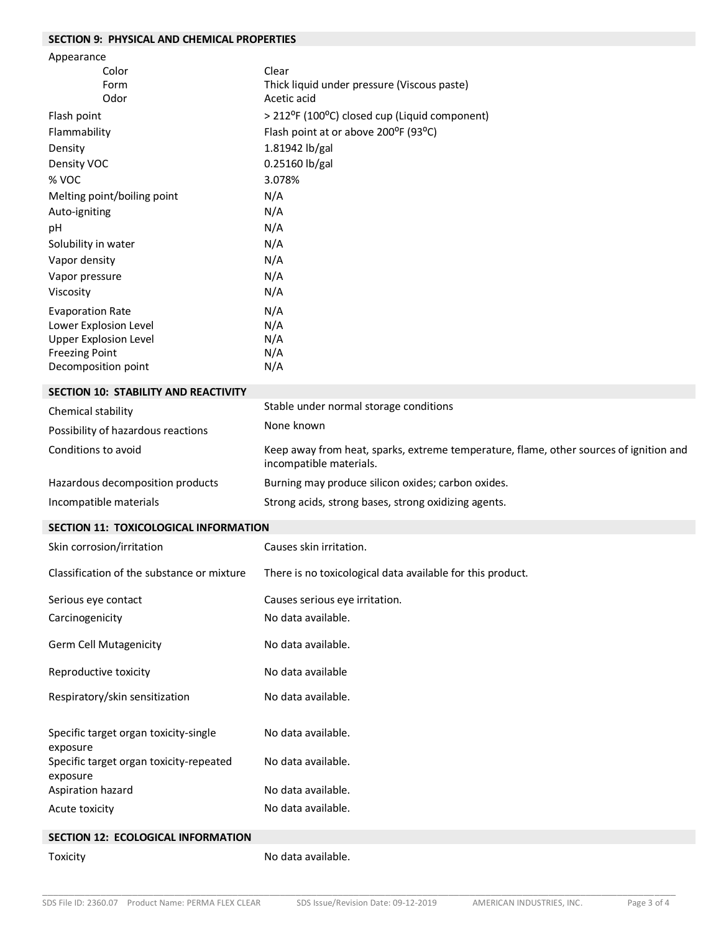# **SECTION 9: PHYSICAL AND CHEMICAL PROPERTIES**

| Appearance                                          |                                                                                                                   |
|-----------------------------------------------------|-------------------------------------------------------------------------------------------------------------------|
| Color                                               | Clear                                                                                                             |
| Form                                                | Thick liquid under pressure (Viscous paste)                                                                       |
| Odor                                                | Acetic acid                                                                                                       |
| Flash point                                         | > 212°F (100°C) closed cup (Liquid component)                                                                     |
| Flammability                                        | Flash point at or above 200°F (93°C)                                                                              |
| Density                                             | 1.81942 lb/gal                                                                                                    |
| Density VOC                                         | 0.25160 lb/gal                                                                                                    |
| % VOC                                               | 3.078%                                                                                                            |
| Melting point/boiling point                         | N/A                                                                                                               |
| Auto-igniting                                       | N/A                                                                                                               |
| pH                                                  | N/A                                                                                                               |
| Solubility in water                                 | N/A                                                                                                               |
| Vapor density                                       | N/A                                                                                                               |
| Vapor pressure                                      | N/A                                                                                                               |
| Viscosity                                           | N/A                                                                                                               |
| <b>Evaporation Rate</b>                             | N/A                                                                                                               |
| Lower Explosion Level                               | N/A                                                                                                               |
| <b>Upper Explosion Level</b>                        | N/A                                                                                                               |
| <b>Freezing Point</b>                               | N/A                                                                                                               |
| Decomposition point                                 | N/A                                                                                                               |
| SECTION 10: STABILITY AND REACTIVITY                |                                                                                                                   |
| Chemical stability                                  | Stable under normal storage conditions                                                                            |
| Possibility of hazardous reactions                  | None known                                                                                                        |
| Conditions to avoid                                 | Keep away from heat, sparks, extreme temperature, flame, other sources of ignition and<br>incompatible materials. |
| Hazardous decomposition products                    | Burning may produce silicon oxides; carbon oxides.                                                                |
| Incompatible materials                              | Strong acids, strong bases, strong oxidizing agents.                                                              |
| <b>SECTION 11: TOXICOLOGICAL INFORMATION</b>        |                                                                                                                   |
| Skin corrosion/irritation                           |                                                                                                                   |
|                                                     | Causes skin irritation.                                                                                           |
| Classification of the substance or mixture          | There is no toxicological data available for this product.                                                        |
| Serious eye contact                                 | Causes serious eye irritation.                                                                                    |
| Carcinogenicity                                     | No data available.                                                                                                |
| <b>Germ Cell Mutagenicity</b>                       | No data available.                                                                                                |
| Reproductive toxicity                               | No data available                                                                                                 |
| Respiratory/skin sensitization                      | No data available.                                                                                                |
| Specific target organ toxicity-single<br>exposure   | No data available.                                                                                                |
| Specific target organ toxicity-repeated<br>exposure | No data available.                                                                                                |
| Aspiration hazard<br>Acute toxicity                 | No data available.<br>No data available.                                                                          |

## **SECTION 12: ECOLOGICAL INFORMATION**

Toxicity **No data available.**